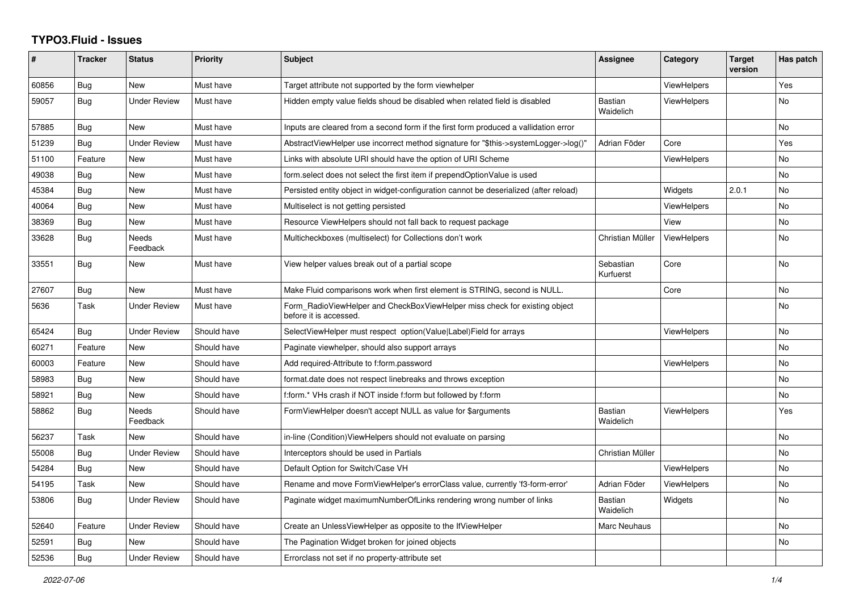## **TYPO3.Fluid - Issues**

| #     | <b>Tracker</b> | <b>Status</b>       | Priority    | <b>Subject</b>                                                                                       | Assignee                    | Category           | <b>Target</b><br>version | Has patch      |
|-------|----------------|---------------------|-------------|------------------------------------------------------------------------------------------------------|-----------------------------|--------------------|--------------------------|----------------|
| 60856 | Bug            | New                 | Must have   | Target attribute not supported by the form viewhelper                                                |                             | <b>ViewHelpers</b> |                          | Yes            |
| 59057 | Bug            | <b>Under Review</b> | Must have   | Hidden empty value fields shoud be disabled when related field is disabled                           | Bastian<br>Waidelich        | <b>ViewHelpers</b> |                          | No             |
| 57885 | Bug            | <b>New</b>          | Must have   | Inputs are cleared from a second form if the first form produced a vallidation error                 |                             |                    |                          | <b>No</b>      |
| 51239 | Bug            | Under Review        | Must have   | AbstractViewHelper use incorrect method signature for "\$this->systemLogger->log()"                  | Adrian Föder                | Core               |                          | Yes            |
| 51100 | Feature        | New                 | Must have   | Links with absolute URI should have the option of URI Scheme                                         |                             | ViewHelpers        |                          | No             |
| 49038 | Bug            | <b>New</b>          | Must have   | form.select does not select the first item if prependOptionValue is used                             |                             |                    |                          | <b>No</b>      |
| 45384 | Bug            | New                 | Must have   | Persisted entity object in widget-configuration cannot be deserialized (after reload)                |                             | Widgets            | 2.0.1                    | No             |
| 40064 | Bug            | New                 | Must have   | Multiselect is not getting persisted                                                                 |                             | <b>ViewHelpers</b> |                          | <b>No</b>      |
| 38369 | <b>Bug</b>     | New                 | Must have   | Resource ViewHelpers should not fall back to request package                                         |                             | View               |                          | No             |
| 33628 | Bug            | Needs<br>Feedback   | Must have   | Multicheckboxes (multiselect) for Collections don't work                                             | Christian Müller            | <b>ViewHelpers</b> |                          | No.            |
| 33551 | Bug            | <b>New</b>          | Must have   | View helper values break out of a partial scope                                                      | Sebastian<br>Kurfuerst      | Core               |                          | <b>No</b>      |
| 27607 | <b>Bug</b>     | New                 | Must have   | Make Fluid comparisons work when first element is STRING, second is NULL.                            |                             | Core               |                          | No             |
| 5636  | Task           | <b>Under Review</b> | Must have   | Form RadioViewHelper and CheckBoxViewHelper miss check for existing object<br>before it is accessed. |                             |                    |                          | <b>No</b>      |
| 65424 | <b>Bug</b>     | <b>Under Review</b> | Should have | SelectViewHelper must respect option(Value Label)Field for arrays                                    |                             | <b>ViewHelpers</b> |                          | <b>No</b>      |
| 60271 | Feature        | New                 | Should have | Paginate viewhelper, should also support arrays                                                      |                             |                    |                          | <b>No</b>      |
| 60003 | Feature        | New                 | Should have | Add required-Attribute to f:form.password                                                            |                             | <b>ViewHelpers</b> |                          | No             |
| 58983 | <b>Bug</b>     | New                 | Should have | format.date does not respect linebreaks and throws exception                                         |                             |                    |                          | No             |
| 58921 | Bug            | New                 | Should have | f:form.* VHs crash if NOT inside f:form but followed by f:form                                       |                             |                    |                          | N <sub>o</sub> |
| 58862 | Bug            | Needs<br>Feedback   | Should have | FormViewHelper doesn't accept NULL as value for \$arguments                                          | <b>Bastian</b><br>Waidelich | <b>ViewHelpers</b> |                          | Yes            |
| 56237 | Task           | New                 | Should have | in-line (Condition) View Helpers should not evaluate on parsing                                      |                             |                    |                          | No.            |
| 55008 | Bug            | <b>Under Review</b> | Should have | Interceptors should be used in Partials                                                              | Christian Müller            |                    |                          | <b>No</b>      |
| 54284 | <b>Bug</b>     | New                 | Should have | Default Option for Switch/Case VH                                                                    |                             | <b>ViewHelpers</b> |                          | <b>No</b>      |
| 54195 | Task           | New                 | Should have | Rename and move FormViewHelper's errorClass value, currently 'f3-form-error'                         | Adrian Föder                | <b>ViewHelpers</b> |                          | No             |
| 53806 | Bug            | <b>Under Review</b> | Should have | Paginate widget maximumNumberOfLinks rendering wrong number of links                                 | <b>Bastian</b><br>Waidelich | Widgets            |                          | <b>No</b>      |
| 52640 | Feature        | <b>Under Review</b> | Should have | Create an UnlessViewHelper as opposite to the IfViewHelper                                           | Marc Neuhaus                |                    |                          | <b>No</b>      |
| 52591 | Bug            | New                 | Should have | The Pagination Widget broken for joined objects                                                      |                             |                    |                          | No             |
| 52536 | Bug            | <b>Under Review</b> | Should have | Errorclass not set if no property-attribute set                                                      |                             |                    |                          |                |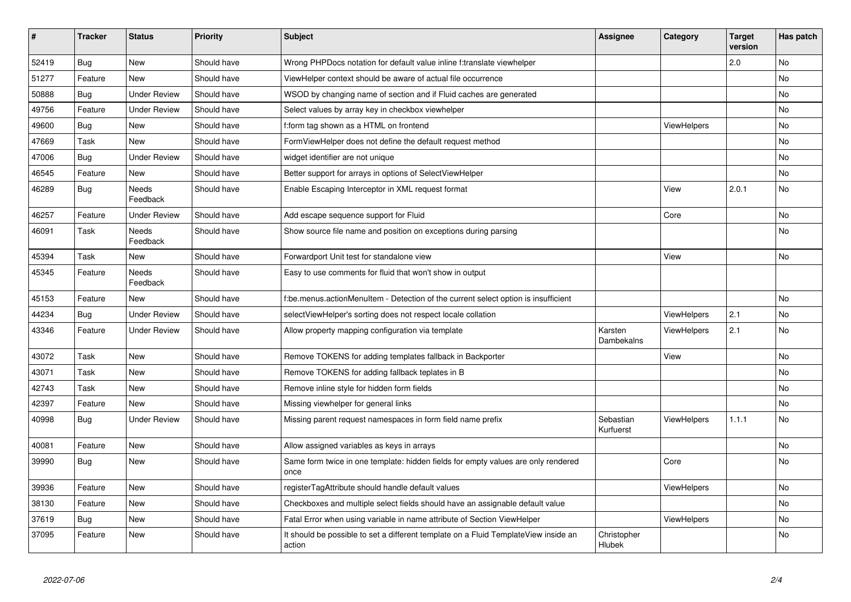| #     | <b>Tracker</b> | <b>Status</b>            | <b>Priority</b> | <b>Subject</b>                                                                                | Assignee               | Category           | <b>Target</b><br>version | Has patch |
|-------|----------------|--------------------------|-----------------|-----------------------------------------------------------------------------------------------|------------------------|--------------------|--------------------------|-----------|
| 52419 | <b>Bug</b>     | <b>New</b>               | Should have     | Wrong PHPDocs notation for default value inline f:translate viewhelper                        |                        |                    | 2.0                      | <b>No</b> |
| 51277 | Feature        | <b>New</b>               | Should have     | ViewHelper context should be aware of actual file occurrence                                  |                        |                    |                          | No        |
| 50888 | Bug            | <b>Under Review</b>      | Should have     | WSOD by changing name of section and if Fluid caches are generated                            |                        |                    |                          | No        |
| 49756 | Feature        | <b>Under Review</b>      | Should have     | Select values by array key in checkbox viewhelper                                             |                        |                    |                          | No        |
| 49600 | Bug            | New                      | Should have     | f:form tag shown as a HTML on frontend                                                        |                        | ViewHelpers        |                          | No        |
| 47669 | Task           | New                      | Should have     | FormViewHelper does not define the default request method                                     |                        |                    |                          | No.       |
| 47006 | <b>Bug</b>     | <b>Under Review</b>      | Should have     | widget identifier are not unique                                                              |                        |                    |                          | No        |
| 46545 | Feature        | New                      | Should have     | Better support for arrays in options of SelectViewHelper                                      |                        |                    |                          | No        |
| 46289 | Bug            | <b>Needs</b><br>Feedback | Should have     | Enable Escaping Interceptor in XML request format                                             |                        | View               | 2.0.1                    | No        |
| 46257 | Feature        | <b>Under Review</b>      | Should have     | Add escape sequence support for Fluid                                                         |                        | Core               |                          | No        |
| 46091 | Task           | Needs<br>Feedback        | Should have     | Show source file name and position on exceptions during parsing                               |                        |                    |                          | No        |
| 45394 | Task           | <b>New</b>               | Should have     | Forwardport Unit test for standalone view                                                     |                        | View               |                          | No        |
| 45345 | Feature        | <b>Needs</b><br>Feedback | Should have     | Easy to use comments for fluid that won't show in output                                      |                        |                    |                          |           |
| 45153 | Feature        | <b>New</b>               | Should have     | f:be.menus.actionMenuItem - Detection of the current select option is insufficient            |                        |                    |                          | No        |
| 44234 | Bug            | <b>Under Review</b>      | Should have     | selectViewHelper's sorting does not respect locale collation                                  |                        | ViewHelpers        | 2.1                      | No        |
| 43346 | Feature        | Under Review             | Should have     | Allow property mapping configuration via template                                             | Karsten<br>Dambekalns  | ViewHelpers        | 2.1                      | No        |
| 43072 | Task           | <b>New</b>               | Should have     | Remove TOKENS for adding templates fallback in Backporter                                     |                        | View               |                          | <b>No</b> |
| 43071 | Task           | New                      | Should have     | Remove TOKENS for adding fallback teplates in B                                               |                        |                    |                          | No        |
| 42743 | Task           | <b>New</b>               | Should have     | Remove inline style for hidden form fields                                                    |                        |                    |                          | No        |
| 42397 | Feature        | <b>New</b>               | Should have     | Missing viewhelper for general links                                                          |                        |                    |                          | No        |
| 40998 | Bug            | <b>Under Review</b>      | Should have     | Missing parent request namespaces in form field name prefix                                   | Sebastian<br>Kurfuerst | <b>ViewHelpers</b> | 1.1.1                    | <b>No</b> |
| 40081 | Feature        | <b>New</b>               | Should have     | Allow assigned variables as keys in arrays                                                    |                        |                    |                          | No        |
| 39990 | Bug            | <b>New</b>               | Should have     | Same form twice in one template: hidden fields for empty values are only rendered<br>once     |                        | Core               |                          | <b>No</b> |
| 39936 | Feature        | <b>New</b>               | Should have     | registerTagAttribute should handle default values                                             |                        | ViewHelpers        |                          | <b>No</b> |
| 38130 | Feature        | <b>New</b>               | Should have     | Checkboxes and multiple select fields should have an assignable default value                 |                        |                    |                          | No        |
| 37619 | <b>Bug</b>     | New                      | Should have     | Fatal Error when using variable in name attribute of Section ViewHelper                       |                        | ViewHelpers        |                          | No        |
| 37095 | Feature        | <b>New</b>               | Should have     | It should be possible to set a different template on a Fluid TemplateView inside an<br>action | Christopher<br>Hlubek  |                    |                          | No        |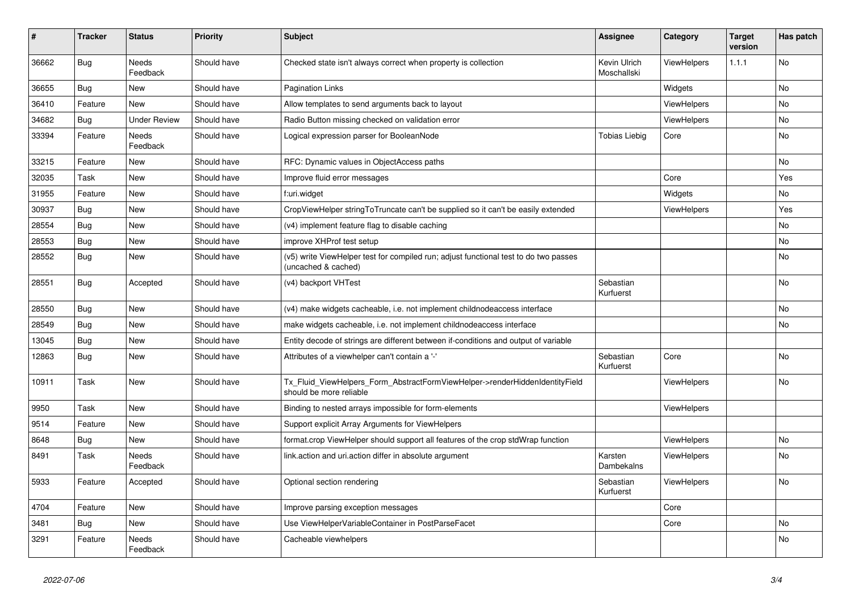| $\vert$ # | <b>Tracker</b> | <b>Status</b>       | <b>Priority</b> | <b>Subject</b>                                                                                              | <b>Assignee</b>             | Category           | <b>Target</b><br>version | Has patch |
|-----------|----------------|---------------------|-----------------|-------------------------------------------------------------------------------------------------------------|-----------------------------|--------------------|--------------------------|-----------|
| 36662     | Bug            | Needs<br>Feedback   | Should have     | Checked state isn't always correct when property is collection                                              | Kevin Ulrich<br>Moschallski | ViewHelpers        | 1.1.1                    | <b>No</b> |
| 36655     | Bug            | New                 | Should have     | <b>Pagination Links</b>                                                                                     |                             | Widgets            |                          | No        |
| 36410     | Feature        | <b>New</b>          | Should have     | Allow templates to send arguments back to layout                                                            |                             | <b>ViewHelpers</b> |                          | No        |
| 34682     | Bug            | <b>Under Review</b> | Should have     | Radio Button missing checked on validation error                                                            |                             | ViewHelpers        |                          | <b>No</b> |
| 33394     | Feature        | Needs<br>Feedback   | Should have     | Logical expression parser for BooleanNode                                                                   | <b>Tobias Liebig</b>        | Core               |                          | No        |
| 33215     | Feature        | New                 | Should have     | RFC: Dynamic values in ObjectAccess paths                                                                   |                             |                    |                          | No        |
| 32035     | Task           | New                 | Should have     | Improve fluid error messages                                                                                |                             | Core               |                          | Yes       |
| 31955     | Feature        | New                 | Should have     | f:uri.widget                                                                                                |                             | Widgets            |                          | No        |
| 30937     | Bug            | New                 | Should have     | CropViewHelper stringToTruncate can't be supplied so it can't be easily extended                            |                             | <b>ViewHelpers</b> |                          | Yes       |
| 28554     | <b>Bug</b>     | New                 | Should have     | (v4) implement feature flag to disable caching                                                              |                             |                    |                          | No        |
| 28553     | Bug            | New                 | Should have     | improve XHProf test setup                                                                                   |                             |                    |                          | No        |
| 28552     | Bug            | New                 | Should have     | (v5) write ViewHelper test for compiled run; adjust functional test to do two passes<br>(uncached & cached) |                             |                    |                          | No        |
| 28551     | Bug            | Accepted            | Should have     | (v4) backport VHTest                                                                                        | Sebastian<br>Kurfuerst      |                    |                          | <b>No</b> |
| 28550     | Bug            | New                 | Should have     | (v4) make widgets cacheable, i.e. not implement childnodeaccess interface                                   |                             |                    |                          | <b>No</b> |
| 28549     | Bug            | New                 | Should have     | make widgets cacheable, i.e. not implement childnodeaccess interface                                        |                             |                    |                          | No        |
| 13045     | <b>Bug</b>     | <b>New</b>          | Should have     | Entity decode of strings are different between if-conditions and output of variable                         |                             |                    |                          |           |
| 12863     | <b>Bug</b>     | New                 | Should have     | Attributes of a viewhelper can't contain a '-'                                                              | Sebastian<br>Kurfuerst      | Core               |                          | <b>No</b> |
| 10911     | Task           | New                 | Should have     | Tx Fluid ViewHelpers Form AbstractFormViewHelper->renderHiddenIdentityField<br>should be more reliable      |                             | <b>ViewHelpers</b> |                          | No        |
| 9950      | Task           | New                 | Should have     | Binding to nested arrays impossible for form-elements                                                       |                             | ViewHelpers        |                          |           |
| 9514      | Feature        | New                 | Should have     | Support explicit Array Arguments for ViewHelpers                                                            |                             |                    |                          |           |
| 8648      | <b>Bug</b>     | New                 | Should have     | format.crop ViewHelper should support all features of the crop stdWrap function                             |                             | ViewHelpers        |                          | No        |
| 8491      | Task           | Needs<br>Feedback   | Should have     | link.action and uri.action differ in absolute argument                                                      | Karsten<br>Dambekalns       | <b>ViewHelpers</b> |                          | No        |
| 5933      | Feature        | Accepted            | Should have     | Optional section rendering                                                                                  | Sebastian<br>Kurfuerst      | <b>ViewHelpers</b> |                          | <b>No</b> |
| 4704      | Feature        | New                 | Should have     | Improve parsing exception messages                                                                          |                             | Core               |                          |           |
| 3481      | Bug            | New                 | Should have     | Use ViewHelperVariableContainer in PostParseFacet                                                           |                             | Core               |                          | No        |
| 3291      | Feature        | Needs<br>Feedback   | Should have     | Cacheable viewhelpers                                                                                       |                             |                    |                          | No        |